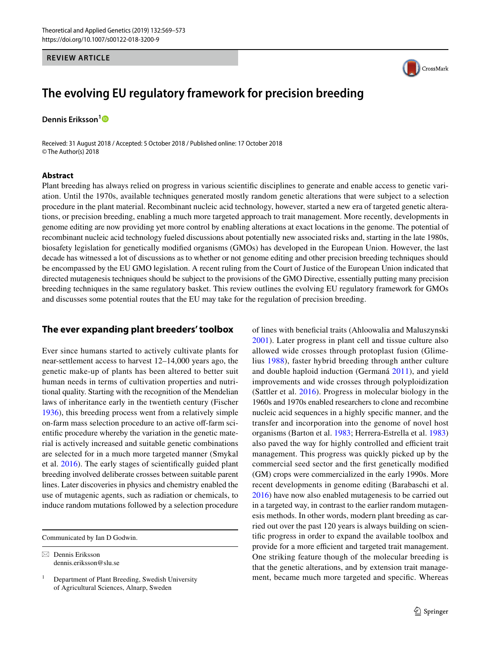#### **REVIEW ARTICLE**



# **The evolving EU regulatory framework for precision breeding**

**Dennis Eriksson[1](http://orcid.org/0000-0002-5205-3396)**

Received: 31 August 2018 / Accepted: 5 October 2018 / Published online: 17 October 2018 © The Author(s) 2018

#### **Abstract**

Plant breeding has always relied on progress in various scientifc disciplines to generate and enable access to genetic variation. Until the 1970s, available techniques generated mostly random genetic alterations that were subject to a selection procedure in the plant material. Recombinant nucleic acid technology, however, started a new era of targeted genetic alterations, or precision breeding, enabling a much more targeted approach to trait management. More recently, developments in genome editing are now providing yet more control by enabling alterations at exact locations in the genome. The potential of recombinant nucleic acid technology fueled discussions about potentially new associated risks and, starting in the late 1980s, biosafety legislation for genetically modifed organisms (GMOs) has developed in the European Union. However, the last decade has witnessed a lot of discussions as to whether or not genome editing and other precision breeding techniques should be encompassed by the EU GMO legislation. A recent ruling from the Court of Justice of the European Union indicated that directed mutagenesis techniques should be subject to the provisions of the GMO Directive, essentially putting many precision breeding techniques in the same regulatory basket. This review outlines the evolving EU regulatory framework for GMOs and discusses some potential routes that the EU may take for the regulation of precision breeding.

#### **The ever expanding plant breeders' toolbox**

Ever since humans started to actively cultivate plants for near-settlement access to harvest 12–14,000 years ago, the genetic make-up of plants has been altered to better suit human needs in terms of cultivation properties and nutritional quality. Starting with the recognition of the Mendelian laws of inheritance early in the twentieth century (Fischer [1936](#page-4-0)), this breeding process went from a relatively simple on-farm mass selection procedure to an active off-farm scientifc procedure whereby the variation in the genetic material is actively increased and suitable genetic combinations are selected for in a much more targeted manner (Smykal et al. [2016](#page-4-1)). The early stages of scientifcally guided plant breeding involved deliberate crosses between suitable parent lines. Later discoveries in physics and chemistry enabled the use of mutagenic agents, such as radiation or chemicals, to induce random mutations followed by a selection procedure

Communicated by Ian D Godwin.

 $\boxtimes$  Dennis Eriksson dennis.eriksson@slu.se of lines with benefcial traits (Ahloowalia and Maluszynski [2001\)](#page-3-0). Later progress in plant cell and tissue culture also allowed wide crosses through protoplast fusion (Glimelius [1988](#page-4-2)), faster hybrid breeding through anther culture and double haploid induction (Germaná [2011\)](#page-4-3), and yield improvements and wide crosses through polyploidization (Sattler et al. [2016\)](#page-4-4). Progress in molecular biology in the 1960s and 1970s enabled researchers to clone and recombine nucleic acid sequences in a highly specifc manner, and the transfer and incorporation into the genome of novel host organisms (Barton et al. [1983;](#page-3-1) Herrera-Estrella et al. [1983\)](#page-4-5) also paved the way for highly controlled and efficient trait management. This progress was quickly picked up by the commercial seed sector and the frst genetically modifed (GM) crops were commercialized in the early 1990s. More recent developments in genome editing (Barabaschi et al. [2016](#page-3-2)) have now also enabled mutagenesis to be carried out in a targeted way, in contrast to the earlier random mutagenesis methods. In other words, modern plant breeding as carried out over the past 120 years is always building on scientifc progress in order to expand the available toolbox and provide for a more efficient and targeted trait management. One striking feature though of the molecular breeding is that the genetic alterations, and by extension trait management, became much more targeted and specifc. Whereas

 $1$  Department of Plant Breeding, Swedish University of Agricultural Sciences, Alnarp, Sweden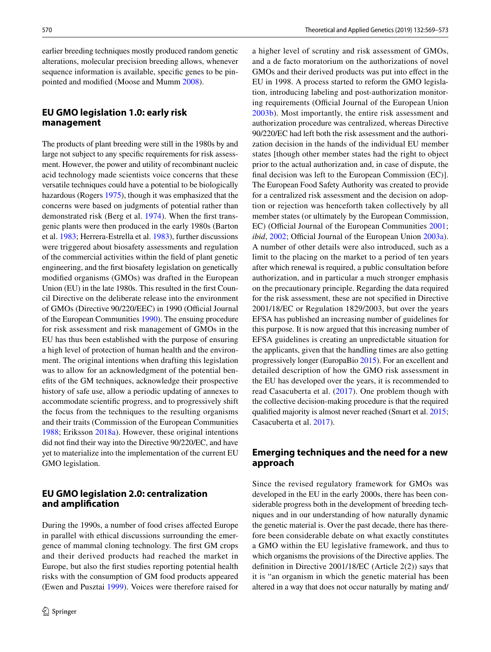earlier breeding techniques mostly produced random genetic alterations, molecular precision breeding allows, whenever sequence information is available, specifc genes to be pinpointed and modifed (Moose and Mumm [2008\)](#page-4-6).

# **EU GMO legislation 1.0: early risk management**

The products of plant breeding were still in the 1980s by and large not subject to any specifc requirements for risk assessment. However, the power and utility of recombinant nucleic acid technology made scientists voice concerns that these versatile techniques could have a potential to be biologically hazardous (Rogers [1975](#page-4-7)), though it was emphasized that the concerns were based on judgments of potential rather than demonstrated risk (Berg et al. [1974](#page-3-3)). When the frst transgenic plants were then produced in the early 1980s (Barton et al. [1983](#page-3-1); Herrera-Estrella et al. [1983\)](#page-4-5), further discussions were triggered about biosafety assessments and regulation of the commercial activities within the feld of plant genetic engineering, and the frst biosafety legislation on genetically modifed organisms (GMOs) was drafted in the European Union (EU) in the late 1980s. This resulted in the frst Council Directive on the deliberate release into the environment of GMOs (Directive 90/220/EEC) in 1990 (Official Journal of the European Communities [1990](#page-4-8)). The ensuing procedure for risk assessment and risk management of GMOs in the EU has thus been established with the purpose of ensuring a high level of protection of human health and the environment. The original intentions when drafting this legislation was to allow for an acknowledgment of the potential benefts of the GM techniques, acknowledge their prospective history of safe use, allow a periodic updating of annexes to accommodate scientifc progress, and to progressively shift the focus from the techniques to the resulting organisms and their traits (Commission of the European Communities [1988](#page-3-4); Eriksson [2018a](#page-4-9)). However, these original intentions did not fnd their way into the Directive 90/220/EC, and have yet to materialize into the implementation of the current EU GMO legislation.

# **EU GMO legislation 2.0: centralization and amplifcation**

During the 1990s, a number of food crises afected Europe in parallel with ethical discussions surrounding the emergence of mammal cloning technology. The frst GM crops and their derived products had reached the market in Europe, but also the frst studies reporting potential health risks with the consumption of GM food products appeared (Ewen and Pusztai [1999](#page-4-10)). Voices were therefore raised for a higher level of scrutiny and risk assessment of GMOs, and a de facto moratorium on the authorizations of novel GMOs and their derived products was put into effect in the EU in 1998. A process started to reform the GMO legislation, introducing labeling and post-authorization monitoring requirements (Official Journal of the European Union [2003b\)](#page-4-11). Most importantly, the entire risk assessment and authorization procedure was centralized, whereas Directive 90/220/EC had left both the risk assessment and the authorization decision in the hands of the individual EU member states [though other member states had the right to object prior to the actual authorization and, in case of dispute, the fnal decision was left to the European Commission (EC)]. The European Food Safety Authority was created to provide for a centralized risk assessment and the decision on adoption or rejection was henceforth taken collectively by all member states (or ultimately by the European Commission, EC) (Official Journal of the European Communities [2001](#page-4-12); *ibid*, [2002](#page-4-13); Official Journal of the European Union [2003a](#page-4-14)). A number of other details were also introduced, such as a limit to the placing on the market to a period of ten years after which renewal is required, a public consultation before authorization, and in particular a much stronger emphasis on the precautionary principle. Regarding the data required for the risk assessment, these are not specifed in Directive 2001/18/EC or Regulation 1829/2003, but over the years EFSA has published an increasing number of guidelines for this purpose. It is now argued that this increasing number of EFSA guidelines is creating an unpredictable situation for the applicants, given that the handling times are also getting progressively longer (EuropaBio [2015\)](#page-4-15). For an excellent and detailed description of how the GMO risk assessment in the EU has developed over the years, it is recommended to read Casacuberta et al. [\(2017](#page-3-5)). One problem though with the collective decision-making procedure is that the required qualifed majority is almost never reached (Smart et al. [2015](#page-4-16); Casacuberta et al. [2017](#page-3-5)).

# **Emerging techniques and the need for a new approach**

Since the revised regulatory framework for GMOs was developed in the EU in the early 2000s, there has been considerable progress both in the development of breeding techniques and in our understanding of how naturally dynamic the genetic material is. Over the past decade, there has therefore been considerable debate on what exactly constitutes a GMO within the EU legislative framework, and thus to which organisms the provisions of the Directive applies. The defnition in Directive 2001/18/EC (Article 2(2)) says that it is "an organism in which the genetic material has been altered in a way that does not occur naturally by mating and/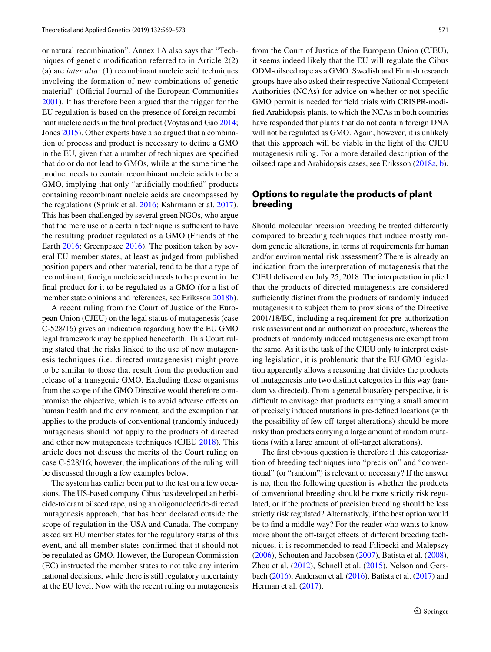or natural recombination". Annex 1A also says that "Techniques of genetic modifcation referred to in Article 2(2) (a) are *inter alia*: (1) recombinant nucleic acid techniques involving the formation of new combinations of genetic material" (Official Journal of the European Communities [2001](#page-4-12)). It has therefore been argued that the trigger for the EU regulation is based on the presence of foreign recombinant nucleic acids in the fnal product (Voytas and Gao [2014](#page-4-17); Jones [2015](#page-4-18)). Other experts have also argued that a combination of process and product is necessary to defne a GMO in the EU, given that a number of techniques are specifed that do or do not lead to GMOs, while at the same time the product needs to contain recombinant nucleic acids to be a GMO, implying that only "artifcially modifed" products containing recombinant nucleic acids are encompassed by the regulations (Sprink et al. [2016;](#page-4-19) Kahrmann et al. [2017](#page-4-20)). This has been challenged by several green NGOs, who argue that the mere use of a certain technique is sufficient to have the resulting product regulated as a GMO (Friends of the Earth [2016](#page-4-21); Greenpeace [2016\)](#page-4-22). The position taken by several EU member states, at least as judged from published position papers and other material, tend to be that a type of recombinant, foreign nucleic acid needs to be present in the fnal product for it to be regulated as a GMO (for a list of member state opinions and references, see Eriksson [2018b](#page-4-23)).

A recent ruling from the Court of Justice of the European Union (CJEU) on the legal status of mutagenesis (case C-528/16) gives an indication regarding how the EU GMO legal framework may be applied henceforth. This Court ruling stated that the risks linked to the use of new mutagenesis techniques (i.e. directed mutagenesis) might prove to be similar to those that result from the production and release of a transgenic GMO. Excluding these organisms from the scope of the GMO Directive would therefore compromise the objective, which is to avoid adverse efects on human health and the environment, and the exemption that applies to the products of conventional (randomly induced) mutagenesis should not apply to the products of directed and other new mutagenesis techniques (CJEU [2018](#page-3-6)). This article does not discuss the merits of the Court ruling on case C-528/16; however, the implications of the ruling will be discussed through a few examples below.

The system has earlier been put to the test on a few occasions. The US-based company Cibus has developed an herbicide-tolerant oilseed rape, using an oligonucleotide-directed mutagenesis approach, that has been declared outside the scope of regulation in the USA and Canada. The company asked six EU member states for the regulatory status of this event, and all member states confrmed that it should not be regulated as GMO. However, the European Commission (EC) instructed the member states to not take any interim national decisions, while there is still regulatory uncertainty at the EU level. Now with the recent ruling on mutagenesis from the Court of Justice of the European Union (CJEU), it seems indeed likely that the EU will regulate the Cibus ODM-oilseed rape as a GMO. Swedish and Finnish research groups have also asked their respective National Competent Authorities (NCAs) for advice on whether or not specifc GMO permit is needed for feld trials with CRISPR-modifed Arabidopsis plants, to which the NCAs in both countries have responded that plants that do not contain foreign DNA will not be regulated as GMO. Again, however, it is unlikely that this approach will be viable in the light of the CJEU mutagenesis ruling. For a more detailed description of the oilseed rape and Arabidopsis cases, see Eriksson [\(2018a,](#page-4-9) [b](#page-4-23)).

# **Options to regulate the products of plant breeding**

Should molecular precision breeding be treated diferently compared to breeding techniques that induce mostly random genetic alterations, in terms of requirements for human and/or environmental risk assessment? There is already an indication from the interpretation of mutagenesis that the CJEU delivered on July 25, 2018. The interpretation implied that the products of directed mutagenesis are considered sufficiently distinct from the products of randomly induced mutagenesis to subject them to provisions of the Directive 2001/18/EC, including a requirement for pre-authorization risk assessment and an authorization procedure, whereas the products of randomly induced mutagenesis are exempt from the same. As it is the task of the CJEU only to interpret existing legislation, it is problematic that the EU GMO legislation apparently allows a reasoning that divides the products of mutagenesis into two distinct categories in this way (random vs directed). From a general biosafety perspective, it is difficult to envisage that products carrying a small amount of precisely induced mutations in pre-defned locations (with the possibility of few off-target alterations) should be more risky than products carrying a large amount of random mutations (with a large amount of off-target alterations).

The frst obvious question is therefore if this categorization of breeding techniques into "precision" and "conventional" (or "random") is relevant or necessary? If the answer is no, then the following question is whether the products of conventional breeding should be more strictly risk regulated, or if the products of precision breeding should be less strictly risk regulated? Alternatively, if the best option would be to fnd a middle way? For the reader who wants to know more about the off-target effects of different breeding techniques, it is recommended to read Filipecki and Malepszy [\(2006\)](#page-4-24), Schouten and Jacobsen [\(2007](#page-4-25)), Batista et al. [\(2008](#page-3-7)), Zhou et al. [\(2012\)](#page-4-26), Schnell et al. [\(2015](#page-4-27)), Nelson and Gersbach [\(2016\)](#page-4-28), Anderson et al. ([2016\)](#page-3-8), Batista et al. ([2017](#page-3-9)) and Herman et al. ([2017\)](#page-4-29).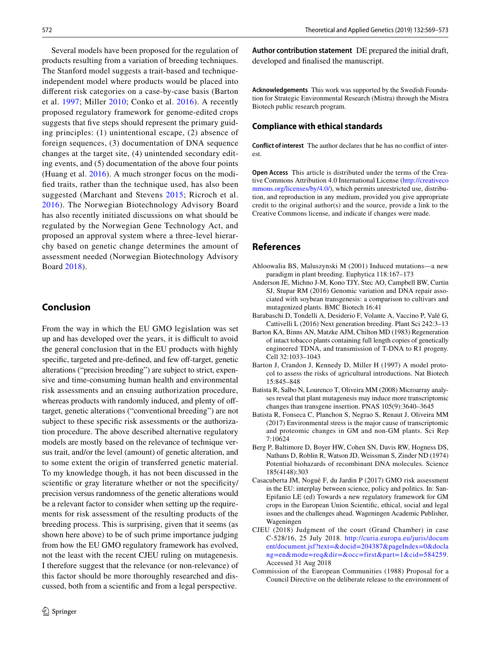Several models have been proposed for the regulation of products resulting from a variation of breeding techniques. The Stanford model suggests a trait-based and techniqueindependent model where products would be placed into diferent risk categories on a case-by-case basis (Barton et al. [1997](#page-3-10); Miller [2010](#page-4-30); Conko et al. [2016](#page-4-31)). A recently proposed regulatory framework for genome-edited crops suggests that fve steps should represent the primary guiding principles: (1) unintentional escape, (2) absence of foreign sequences, (3) documentation of DNA sequence changes at the target site, (4) unintended secondary editing events, and (5) documentation of the above four points (Huang et al. [2016](#page-4-32)). A much stronger focus on the modifed traits, rather than the technique used, has also been suggested (Marchant and Stevens [2015;](#page-4-33) Ricroch et al. [2016](#page-4-34)). The Norwegian Biotechnology Advisory Board has also recently initiated discussions on what should be regulated by the Norwegian Gene Technology Act, and proposed an approval system where a three-level hierarchy based on genetic change determines the amount of assessment needed (Norwegian Biotechnology Advisory Board [2018\)](#page-4-35).

# **Conclusion**

From the way in which the EU GMO legislation was set up and has developed over the years, it is difficult to avoid the general conclusion that in the EU products with highly specific, targeted and pre-defined, and few off-target, genetic alterations ("precision breeding") are subject to strict, expensive and time-consuming human health and environmental risk assessments and an ensuing authorization procedure, whereas products with randomly induced, and plenty of offtarget, genetic alterations ("conventional breeding") are not subject to these specific risk assessments or the authorization procedure. The above described alternative regulatory models are mostly based on the relevance of technique versus trait, and/or the level (amount) of genetic alteration, and to some extent the origin of transferred genetic material. To my knowledge though, it has not been discussed in the scientific or gray literature whether or not the specificity/ precision versus randomness of the genetic alterations would be a relevant factor to consider when setting up the requirements for risk assessment of the resulting products of the breeding process. This is surprising, given that it seems (as shown here above) to be of such prime importance judging from how the EU GMO regulatory framework has evolved, not the least with the recent CJEU ruling on mutagenesis. I therefore suggest that the relevance (or non-relevance) of this factor should be more thoroughly researched and discussed, both from a scientifc and from a legal perspective.

**Author contribution statement** DE prepared the initial draft, developed and fnalised the manuscript.

**Acknowledgements** This work was supported by the Swedish Foundation for Strategic Environmental Research (Mistra) through the Mistra Biotech public research program.

#### **Compliance with ethical standards**

**Conflict of interest** The author declares that he has no confict of interest.

**Open Access** This article is distributed under the terms of the Creative Commons Attribution 4.0 International License ([http://creativeco](http://creativecommons.org/licenses/by/4.0/) [mmons.org/licenses/by/4.0/](http://creativecommons.org/licenses/by/4.0/)), which permits unrestricted use, distribution, and reproduction in any medium, provided you give appropriate credit to the original author(s) and the source, provide a link to the Creative Commons license, and indicate if changes were made.

#### **References**

- <span id="page-3-0"></span>Ahloowalia BS, Maluszynski M (2001) Induced mutations—a new paradigm in plant breeding. Euphytica 118:167–173
- <span id="page-3-8"></span>Anderson JE, Michno J-M, Kono TJY, Stec AO, Campbell BW, Curtin SJ, Stupar RM (2016) Genomic variation and DNA repair associated with soybean transgenesis: a comparison to cultivars and mutagenized plants. BMC Biotech 16:41
- <span id="page-3-2"></span>Barabaschi D, Tondelli A, Desiderio F, Volante A, Vaccino P, Valé G, Cattivelli L (2016) Next generation breeding. Plant Sci 242:3–13
- <span id="page-3-1"></span>Barton KA, Binns AN, Matzke AJM, Chilton MD (1983) Regeneration of intact tobacco plants containing full length copies of genetically engineered TDNA, and transmission of T-DNA to R1 progeny. Cell 32:1033–1043
- <span id="page-3-10"></span>Barton J, Crandon J, Kennedy D, Miller H (1997) A model protocol to assess the risks of agricultural introductions. Nat Biotech 15:845–848
- <span id="page-3-7"></span>Batista R, Salbo N, Lourenco T, Oliveira MM (2008) Microarray analyses reveal that plant mutagenesis may induce more transcriptomic changes than transgene insertion. PNAS 105(9):3640–3645
- <span id="page-3-9"></span>Batista R, Fonseca C, Planchon S, Negrao S, Renaut J, Oliveira MM (2017) Environmental stress is the major cause of transcriptomic and proteomic changes in GM and non-GM plants. Sci Rep 7:10624
- <span id="page-3-3"></span>Berg P, Baltimore D, Boyer HW, Cohen SN, Davis RW, Hogness DS, Nathans D, Roblin R, Watson JD, Weissman S, Zinder ND (1974) Potential biohazards of recombinant DNA molecules. Science 185(4148):303
- <span id="page-3-5"></span>Casacuberta JM, Nogué F, du Jardin P (2017) GMO risk assessment in the EU: interplay between science, policy and politics. In: San-Epifanio LE (ed) Towards a new regulatory framework for GM crops in the European Union Scientifc, ethical, social and legal issues and the challenges ahead. Wageningen Academic Publisher, Wageningen
- <span id="page-3-6"></span>CJEU (2018) Judgment of the court (Grand Chamber) in case C-528/16, 25 July 2018. [http://curia.europa.eu/juris/docum](http://curia.europa.eu/juris/document/document.jsf?text=&docid=204387&pageIndex=0&doclang=en&mode=req&dir=&occ=first&part=1&cid=584259) [ent/document.jsf?text=&docid=204387&pageIndex=0&docla](http://curia.europa.eu/juris/document/document.jsf?text=&docid=204387&pageIndex=0&doclang=en&mode=req&dir=&occ=first&part=1&cid=584259) [ng=en&mode=req&dir=&occ=first&part=1&cid=584259](http://curia.europa.eu/juris/document/document.jsf?text=&docid=204387&pageIndex=0&doclang=en&mode=req&dir=&occ=first&part=1&cid=584259). Accessed 31 Aug 2018
- <span id="page-3-4"></span>Commission of the European Communities (1988) Proposal for a Council Directive on the deliberate release to the environment of